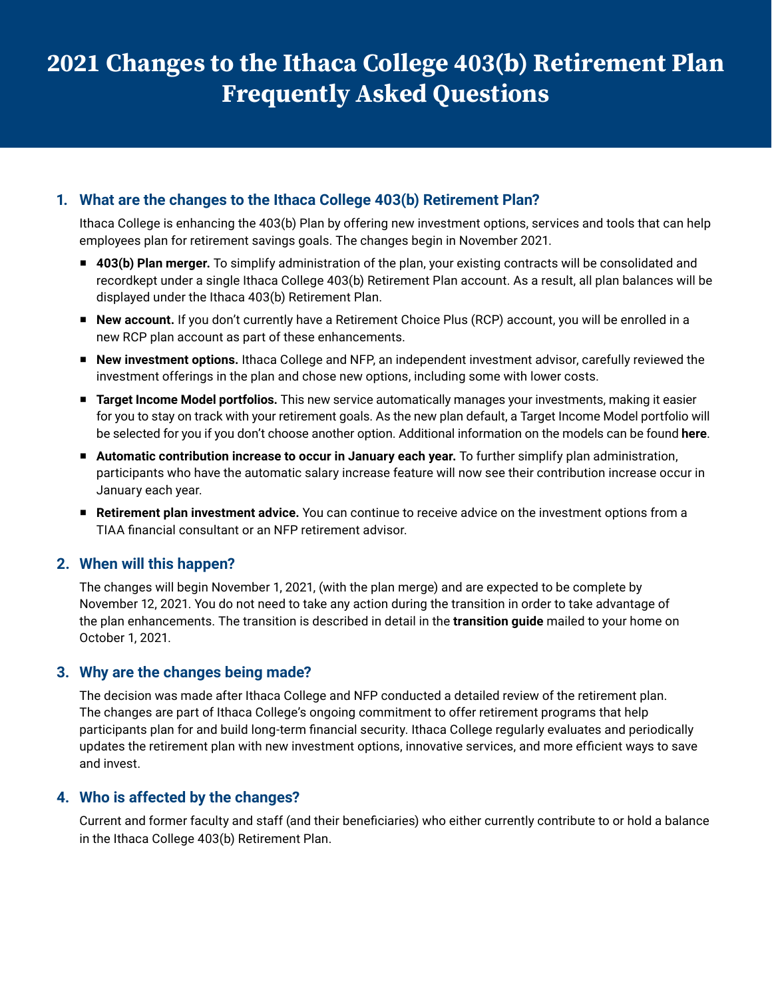# **2021 Changes to the Ithaca College 403(b) Retirement Plan Frequently Asked Questions**

# **1. What are the changes to the Ithaca College 403(b) Retirement Plan?**

Ithaca College is enhancing the 403(b) Plan by offering new investment options, services and tools that can help employees plan for retirement savings goals. The changes begin in November 2021.

- **403(b) Plan merger.** To simplify administration of the plan, your existing contracts will be consolidated and recordkept under a single Ithaca College 403(b) Retirement Plan account. As a result, all plan balances will be displayed under the Ithaca 403(b) Retirement Plan.
- New account. If you don't currently have a Retirement Choice Plus (RCP) account, you will be enrolled in a new RCP plan account as part of these enhancements.
- New investment options. Ithaca College and NFP, an independent investment advisor, carefully reviewed the investment offerings in the plan and chose new options, including some with lower costs.
- W **Target Income Model portfolios.** This new service automatically manages your investments, making it easier for you to stay on track with your retirement goals. As the new plan default, a Target Income Model portfolio will be selected for you if you don't choose another option. Additional information on the models can be found **[here](http://www.Tiaa.org/public/pdf/ithaca_guide.pdf" www.Tiaa.org/public/pdf/ithaca_guide.pdf#page=7)**.
- W **Automatic contribution increase to occur in January each year.** To further simplify plan administration, participants who have the automatic salary increase feature will now see their contribution increase occur in January each year.
- W **Retirement plan investment advice.** You can continue to receive advice on the investment options from a TIAA financial consultant or an NFP retirement advisor.

# **2. When will this happen?**

The changes will begin November 1, 2021, (with the plan merge) and are expected to be complete by November 12, 2021. You do not need to take any action during the transition in order to take advantage of the plan enhancements. The transition is described in detail in the **[transition](http://www.Tiaa.org/public/pdf/ithaca_guide.pdf" www.Tiaa.org/public/pdf/ithaca_guide.pdf
) guide** mailed to your home on October 1, 2021.

# **3. Why are the changes being made?**

The decision was made after Ithaca College and NFP conducted a detailed review of the retirement plan. The changes are part of Ithaca College's ongoing commitment to offer retirement programs that help participants plan for and build long-term financial security. Ithaca College regularly evaluates and periodically updates the retirement plan with new investment options, innovative services, and more efficient ways to save and invest.

# **4. Who is affected by the changes?**

Current and former faculty and staff (and their beneficiaries) who either currently contribute to or hold a balance in the Ithaca College 403(b) Retirement Plan.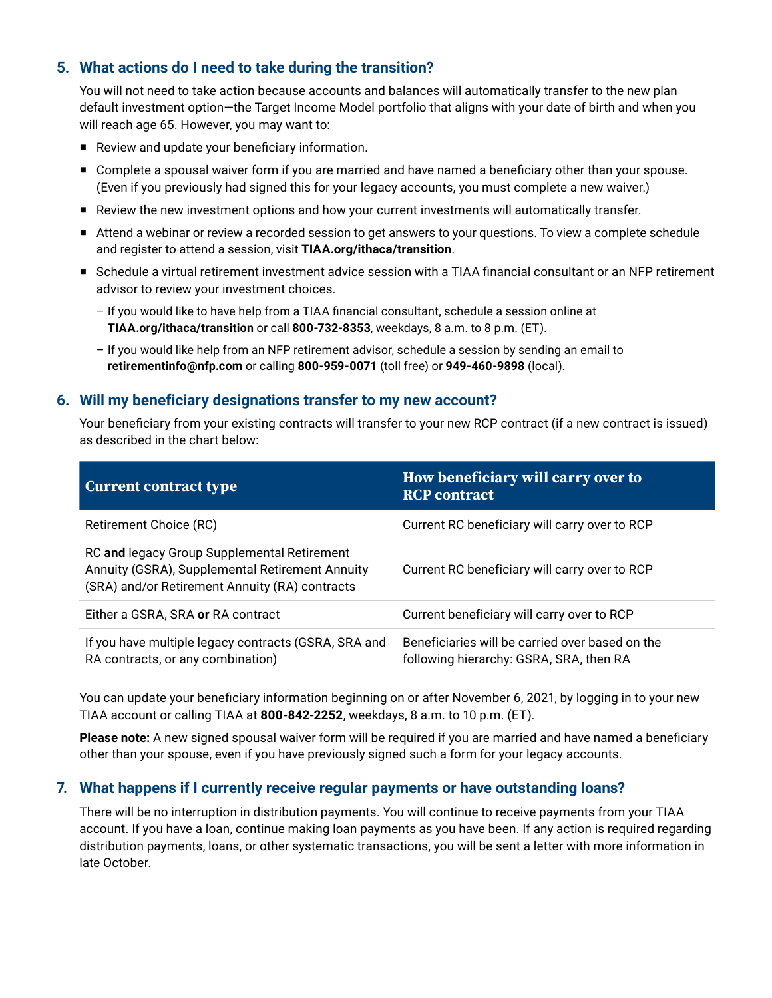# **5. What actions do I need to take during the transition?**

You will not need to take action because accounts and balances will automatically transfer to the new plan default investment option—the Target Income Model portfolio that aligns with your date of birth and when you will reach age 65. However, you may want to:

- $\blacksquare$  Review and update your beneficiary information.
- **Complete a spousal waiver form if you are married and have named a beneficiary other than your spouse.** (Even if you previously had signed this for your legacy accounts, you must complete a new waiver.)
- Review the new investment options and how your current investments will automatically transfer.
- Attend a webinar or review a recorded session to get answers to your questions. To view a complete schedule and register to attend a session, visit **[TIAA.org/ithaca/transition](http://TIAA.org/ithaca/transition)**.
- Schedule a virtual retirement investment advice session with a TIAA financial consultant or an NFP retirement advisor to review your investment choices.
	- If you would like to have help from a TIAA financial consultant, schedule a session online at **[TIAA.org/ithaca/transition](http://TIAA.org/ithaca/transition)** or call **800-732-8353**, weekdays, 8 a.m. to 8 p.m. (ET).
	- If you would like help from an NFP retirement advisor, schedule a session by sending an email to **[retirementinfo@nfp.com](mailto:retirementinfo%40nfp.com?subject=)** or calling **800-959-0071** (toll free) or **949-460-9898** (local).

#### **6. Will my beneficiary designations transfer to my new account?**

Your beneficiary from your existing contracts will transfer to your new RCP contract (if a new contract is issued) as described in the chart below:

| <b>Current contract type</b>                                                                                                                     | How beneficiary will carry over to<br><b>RCP</b> contract                                  |
|--------------------------------------------------------------------------------------------------------------------------------------------------|--------------------------------------------------------------------------------------------|
| Retirement Choice (RC)                                                                                                                           | Current RC beneficiary will carry over to RCP                                              |
| RC and legacy Group Supplemental Retirement<br>Annuity (GSRA), Supplemental Retirement Annuity<br>(SRA) and/or Retirement Annuity (RA) contracts | Current RC beneficiary will carry over to RCP                                              |
| Either a GSRA, SRA or RA contract                                                                                                                | Current beneficiary will carry over to RCP                                                 |
| If you have multiple legacy contracts (GSRA, SRA and<br>RA contracts, or any combination)                                                        | Beneficiaries will be carried over based on the<br>following hierarchy: GSRA, SRA, then RA |

You can update your beneficiary information beginning on or after November 6, 2021, by logging in to your new TIAA account or calling TIAA at **800-842-2252**, weekdays, 8 a.m. to 10 p.m. (ET).

**Please note:** A new signed spousal waiver form will be required if you are married and have named a beneficiary other than your spouse, even if you have previously signed such a form for your legacy accounts.

# **7. What happens if I currently receive regular payments or have outstanding loans?**

There will be no interruption in distribution payments. You will continue to receive payments from your TIAA account. If you have a loan, continue making loan payments as you have been. If any action is required regarding distribution payments, loans, or other systematic transactions, you will be sent a letter with more information in late October.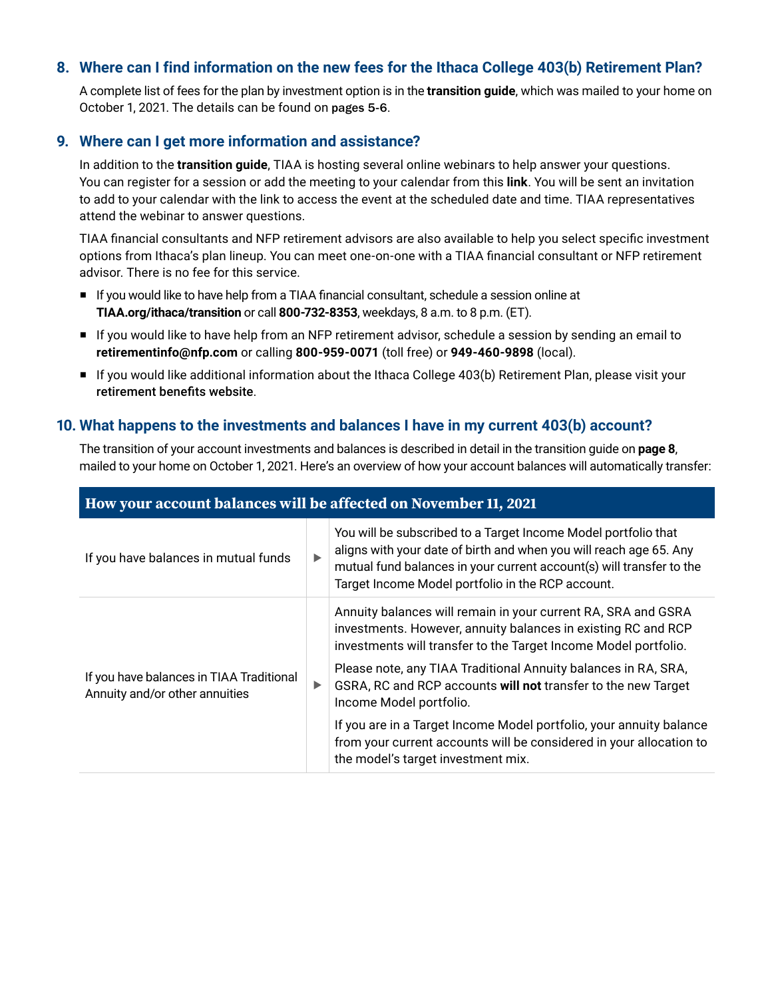# **8. Where can I find information on the new fees for the Ithaca College 403(b) Retirement Plan?**

A complete list of fees for the plan by investment option is in the **[transition](http://www.Tiaa.org/public/pdf/ithaca_guide.pdf) guide**, which was mailed to your home on October 1, 2021. The details can be found on [pages 5-6](http://www.Tiaa.org/public/pdf/ithaca_guide.pdf#page=5
).

#### **9. Where can I get more information and assistance?**

In addition to the **[transition](http://TIAA.org/ithaca/transition) guide**, TIAA is hosting several online webinars to help answer your questions. You can register for a session or add the meeting to your calendar from this **[link](https://webinars.on24.com/client/ithaca)**. You will be sent an invitation to add to your calendar with the link to access the event at the scheduled date and time. TIAA representatives attend the webinar to answer questions.

TIAA financial consultants and NFP retirement advisors are also available to help you select specific investment options from Ithaca's plan lineup. You can meet one-on-one with a TIAA financial consultant or NFP retirement advisor. There is no fee for this service.

- If you would like to have help from a TIAA financial consultant, schedule a session online at **[TIAA.org/ithaca/transition](http://TIAA.org/ithaca/transition)** or call **800-732-8353**, weekdays, 8 a.m. to 8 p.m. (ET).
- If you would like to have help from an NFP retirement advisor, schedule a session by sending an email to **[retirementinfo@nfp.com](mailto:retirementinfo%40nfp.com?subject=)** or calling **800-959-0071** (toll free) or **949-460-9898** (local).
- If you would like additional information about the Ithaca College 403(b) Retirement Plan, please visit your [retirement benefits website](https://www.ithaca.edu/human-resources/employee-benefits-wellness/retirement-planning-programs/403b-retirement-savings-plan).

#### **10. What happens to the investments and balances I have in my current 403(b) account?**

The transition of your account investments and balances is described in detail in the transition guide on **[page](http://www.Tiaa.org/public/pdf/ithaca_guide.pdf#page=8
) 8**, mailed to your home on October 1, 2021. Here's an overview of how your account balances will automatically transfer:

| How your account balances will be affected on November 11, 2021            |                       |                                                                                                                                                                                                                                                                   |
|----------------------------------------------------------------------------|-----------------------|-------------------------------------------------------------------------------------------------------------------------------------------------------------------------------------------------------------------------------------------------------------------|
| If you have balances in mutual funds                                       | ▶                     | You will be subscribed to a Target Income Model portfolio that<br>aligns with your date of birth and when you will reach age 65. Any<br>mutual fund balances in your current account(s) will transfer to the<br>Target Income Model portfolio in the RCP account. |
| If you have balances in TIAA Traditional<br>Annuity and/or other annuities |                       | Annuity balances will remain in your current RA, SRA and GSRA<br>investments. However, annuity balances in existing RC and RCP<br>investments will transfer to the Target Income Model portfolio.                                                                 |
|                                                                            | $\blacktriangleright$ | Please note, any TIAA Traditional Annuity balances in RA, SRA,<br>GSRA, RC and RCP accounts will not transfer to the new Target<br>Income Model portfolio.                                                                                                        |
|                                                                            |                       | If you are in a Target Income Model portfolio, your annuity balance<br>from your current accounts will be considered in your allocation to<br>the model's target investment mix.                                                                                  |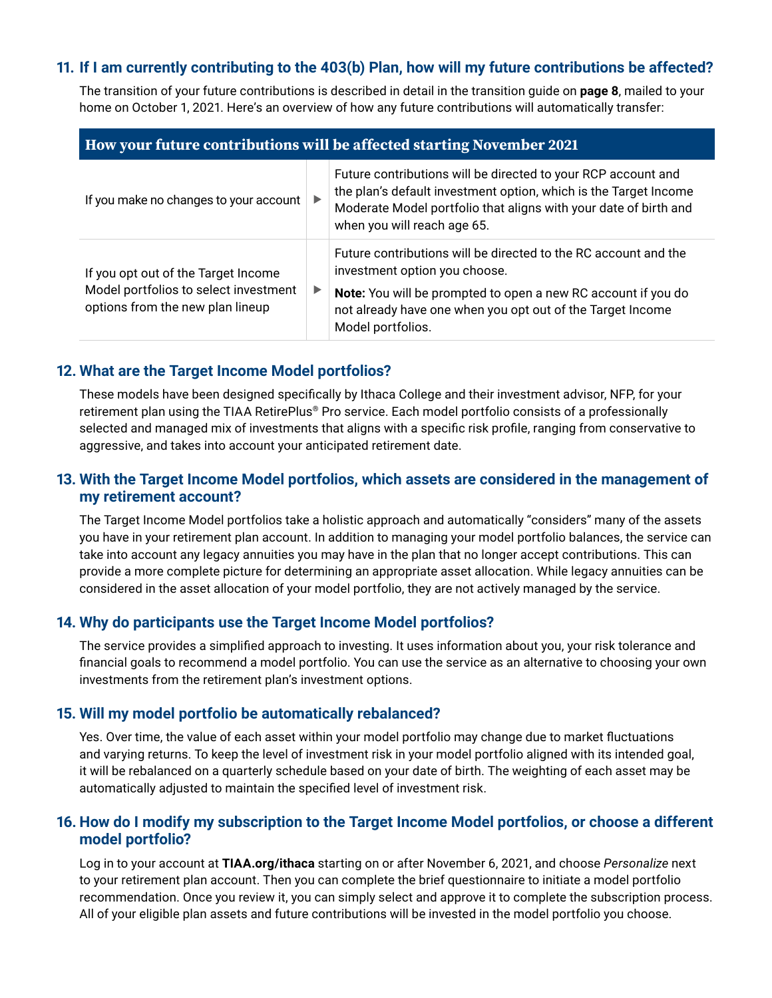# **11. If I am currently contributing to the 403(b) Plan, how will my future contributions be affected?**

The transition of your future contributions is described in detail in the transition guide on **[page](http://TIAA.org/ithaca/transition/page8) 8**, mailed to your home on October 1, 2021. Here's an overview of how any future contributions will automatically transfer:

#### **How your future contributions will be affected starting November 2021**

| If you make no changes to your account                                                                           | $\blacktriangleright$ | Future contributions will be directed to your RCP account and<br>the plan's default investment option, which is the Target Income<br>Moderate Model portfolio that aligns with your date of birth and<br>when you will reach age 65.                 |
|------------------------------------------------------------------------------------------------------------------|-----------------------|------------------------------------------------------------------------------------------------------------------------------------------------------------------------------------------------------------------------------------------------------|
| If you opt out of the Target Income<br>Model portfolios to select investment<br>options from the new plan lineup | $\blacktriangleright$ | Future contributions will be directed to the RC account and the<br>investment option you choose.<br>Note: You will be prompted to open a new RC account if you do<br>not already have one when you opt out of the Target Income<br>Model portfolios. |

#### **12. What are the Target Income Model portfolios?**

These models have been designed specifically by Ithaca College and their investment advisor, NFP, for your retirement plan using the TIAA RetirePlus® Pro service. Each model portfolio consists of a professionally selected and managed mix of investments that aligns with a specific risk profile, ranging from conservative to aggressive, and takes into account your anticipated retirement date.

#### **13. With the Target Income Model portfolios, which assets are considered in the management of my retirement account?**

The Target Income Model portfolios take a holistic approach and automatically "considers" many of the assets you have in your retirement plan account. In addition to managing your model portfolio balances, the service can take into account any legacy annuities you may have in the plan that no longer accept contributions. This can provide a more complete picture for determining an appropriate asset allocation. While legacy annuities can be considered in the asset allocation of your model portfolio, they are not actively managed by the service.

# **14. Why do participants use the Target Income Model portfolios?**

The service provides a simplified approach to investing. It uses information about you, your risk tolerance and financial goals to recommend a model portfolio. You can use the service as an alternative to choosing your own investments from the retirement plan's investment options.

#### **15. Will my model portfolio be automatically rebalanced?**

Yes. Over time, the value of each asset within your model portfolio may change due to market fluctuations and varying returns. To keep the level of investment risk in your model portfolio aligned with its intended goal, it will be rebalanced on a quarterly schedule based on your date of birth. The weighting of each asset may be automatically adjusted to maintain the specified level of investment risk.

# **16. How do I modify my subscription to the Target Income Model portfolios, or choose a different model portfolio?**

Log in to your account at **[TIAA.org/ithaca](http://TIAA.org/ithaca)** starting on or after November 6, 2021, and choose *Personalize* next to your retirement plan account. Then you can complete the brief questionnaire to initiate a model portfolio recommendation. Once you review it, you can simply select and approve it to complete the subscription process. All of your eligible plan assets and future contributions will be invested in the model portfolio you choose.